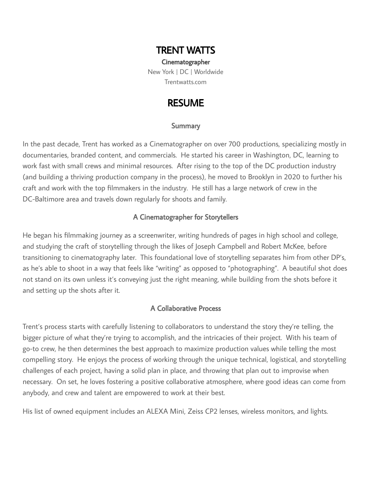## TRENT WATTS

Cinematographer New York | DC | Worldwide [Trentwatts.com](https://trentwatts.com/)

## RESUME

### **Summary**

In the past decade, Trent has worked as a Cinematographer on over 700 productions, specializing mostly in documentaries, branded content, and commercials. He started his career in Washington, DC, learning to work fast with small crews and minimal resources. After rising to the top of the DC production industry (and building a thriving production company in the process), he moved to Brooklyn in 2020 to further his craft and work with the top filmmakers in the industry. He still has a large network of crew in the DC-Baltimore area and travels down regularly for shoots and family.

## A Cinematographer for Storytellers

He began his filmmaking journey as a screenwriter, writing hundreds of pages in high school and college, and studying the craft of storytelling through the likes of Joseph Campbell and Robert McKee, before transitioning to cinematography later. This foundational love of storytelling separates him from other DP's, as he's able to shoot in a way that feels like "writing" as opposed to "photographing". A beautiful shot does not stand on its own unless it's conveying just the right meaning, while building from the shots before it and setting up the shots after it.

## A Collaborative Process

Trent's process starts with carefully listening to collaborators to understand the story they're telling, the bigger picture of what they're trying to accomplish, and the intricacies of their project. With his team of go-to crew, he then determines the best approach to maximize production values while telling the most compelling story. He enjoys the process of working through the unique technical, logistical, and storytelling challenges of each project, having a solid plan in place, and throwing that plan out to improvise when necessary. On set, he loves fostering a positive collaborative atmosphere, where good ideas can come from anybody, and crew and talent are empowered to work at their best.

His list of owned equipment includes an ALEXA Mini, Zeiss CP2 lenses, wireless monitors, and lights.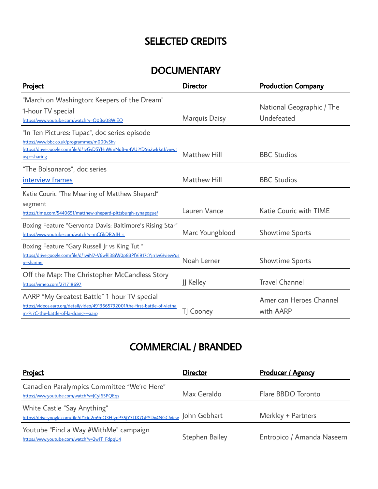# SELECTED CREDITS

# **DOCUMENTARY**

| Project                                                                                                                                                                             | <b>Director</b>      | <b>Production Company</b>               |
|-------------------------------------------------------------------------------------------------------------------------------------------------------------------------------------|----------------------|-----------------------------------------|
| "March on Washington: Keepers of the Dream"<br>1-hour TV special<br>https://www.youtube.com/watch?v=O0Bsj08WiEQ                                                                     | <b>Marquis Daisy</b> | National Geographic / The<br>Undefeated |
| "In Ten Pictures: Tupac", doc series episode<br>https://www.bbc.co.uk/programmes/m000v5hv<br>https://drive.google.com/file/d/1vGyDSYHnWmNpB-jr4VUiYD562wJrkitJ/view?<br>usp=sharing | <b>Matthew Hill</b>  | <b>BBC Studios</b>                      |
| "The Bolsonaros", doc series<br>interview frames                                                                                                                                    | <b>Matthew Hill</b>  | <b>BBC Studios</b>                      |
| Katie Couric "The Meaning of Matthew Shepard"<br>segment<br>https://time.com/5440651/matthew-shepard-pittsburgh-synagogue/                                                          | Lauren Vance         | <b>Katie Couric with TIME</b>           |
| Boxing Feature "Gervonta Davis: Baltimore's Rising Star"<br>https://www.youtube.com/watch?v=mCGkDR2dH_s                                                                             | Marc Youngblood      | <b>Showtime Sports</b>                  |
| Boxing Feature "Gary Russell Jr vs King Tut"<br>https://drive.google.com/file/d/1wiN7-V6wRl38iW0p83PfVi917cYjn1w6/view?us<br>p=sharing                                              | Noah Lerner          | <b>Showtime Sports</b>                  |
| Off the Map: The Christopher McCandless Story<br>https://vimeo.com/271718697                                                                                                        | JJ Kelley            | <b>Travel Channel</b>                   |
| AARP "My Greatest Battle" 1-hour TV special<br>https://videos.aarp.org/detail/video/4913665792001/the-first-battle-of-vietna<br>m-%7C-the-battle-of-la-drang---aarp                 | TJ Cooney            | American Heroes Channel<br>with AARP    |

# COMMERCIAL / BRANDED

| Project                                                                                               | <b>Director</b>       | <b>Producer / Agency</b>  |
|-------------------------------------------------------------------------------------------------------|-----------------------|---------------------------|
| Canadien Paralympics Committee "We're Here"<br>https://www.youtube.com/watch?v=JCyI65PQEqs            | Max Geraldo           | Flare BBDO Toronto        |
| White Castle "Say Anything"<br>https://drive.google.com/file/d/1ciq2m9nQ3HJgoP35jY7TIX7GPYDx4NGC/view | John Gebhart          | Merkley + Partners        |
| Youtube "Find a Way #WithMe" campaign<br>https://www.voutube.com/watch?v=2w1T_FdpaU4                  | <b>Stephen Bailey</b> | Entropico / Amanda Naseem |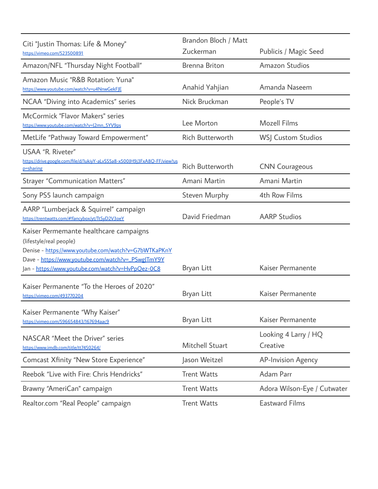| Citi "Justin Thomas: Life & Money"<br>https://vimeo.com/523500891                                                                                                                                                                    | Brandon Bloch / Matt    |                                  |
|--------------------------------------------------------------------------------------------------------------------------------------------------------------------------------------------------------------------------------------|-------------------------|----------------------------------|
|                                                                                                                                                                                                                                      | Zuckerman               | Publicis / Magic Seed            |
| Amazon/NFL "Thursday Night Football"                                                                                                                                                                                                 | <b>Brenna Briton</b>    | <b>Amazon Studios</b>            |
| Amazon Music "R&B Rotation: Yuna"<br>https://www.youtube.com/watch?v=u4NnwGekFJE                                                                                                                                                     | Anahid Yahjian          | Amanda Naseem                    |
| NCAA "Diving into Academics" series                                                                                                                                                                                                  | Nick Bruckman           | People's TV                      |
| McCormick "Flavor Makers" series<br>https://www.youtube.com/watch?v=J2mn_5YV9ps                                                                                                                                                      | Lee Morton              | <b>Mozell Films</b>              |
| MetLife "Pathway Toward Empowerment"                                                                                                                                                                                                 | <b>Rich Butterworth</b> | <b>WSJ Custom Studios</b>        |
| USAA "R. Riveter"<br>https://drive.google.com/file/d/1ukiyY-aLvSS5a8-x500JH9j3FxA8O-FF/view?us<br><u>p=sharing</u>                                                                                                                   | <b>Rich Butterworth</b> | <b>CNN Courageous</b>            |
| <b>Strayer "Communication Matters"</b>                                                                                                                                                                                               | Amani Martin            | Amani Martin                     |
| Sony PS5 launch campaign                                                                                                                                                                                                             | <b>Steven Murphy</b>    | 4th Row Films                    |
| AARP "Lumberjack & Squirrel" campaign<br>https://trentwatts.com/#!fancybox/yt/TtSyD2V3oeY                                                                                                                                            | David Friedman          | <b>AARP Studios</b>              |
| Kaiser Permemante healthcare campaigns<br>(lifestyle/real people)<br>Denise - https://www.youtube.com/watch?v=G7bWTKaPKnY<br>Dave - https://www.youtube.com/watch?v=_PSwgJTmY9Y<br>Jan - https://www.youtube.com/watch?v=HvPpQez-0C8 | <b>Bryan Litt</b>       | Kaiser Permanente                |
| Kaiser Permanente "To the Heroes of 2020"<br>https://vimeo.com/493770204                                                                                                                                                             | <b>Bryan Litt</b>       | Kaiser Permanente                |
| Kaiser Permanente "Why Kaiser"<br>https://vimeo.com/596654843/167694aac9                                                                                                                                                             | <b>Bryan Litt</b>       | Kaiser Permanente                |
| NASCAR "Meet the Driver" series<br>https://www.imdb.com/title/tt7450264/                                                                                                                                                             | <b>Mitchell Stuart</b>  | Looking 4 Larry / HQ<br>Creative |
| <b>Comcast Xfinity "New Store Experience"</b>                                                                                                                                                                                        | Jason Weitzel           | <b>AP-Invision Agency</b>        |
| Reebok "Live with Fire: Chris Hendricks"                                                                                                                                                                                             | <b>Trent Watts</b>      | Adam Parr                        |
| Brawny "AmeriCan" campaign                                                                                                                                                                                                           | <b>Trent Watts</b>      | Adora Wilson-Eye / Cutwater      |
| Realtor.com "Real People" campaign                                                                                                                                                                                                   | <b>Trent Watts</b>      | <b>Eastward Films</b>            |